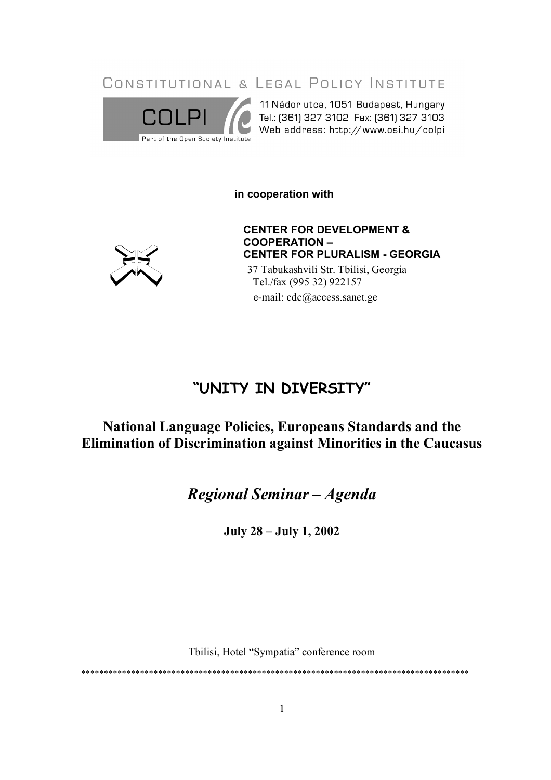CONSTITUTIONAL & LEGAL POLICY INSTITUTE



11 Nádor utca, 1051 Budapest, Hungary 

in cooperation with



**CENTER FOR DEVELOPMENT & COOPERATION -CENTER FOR PLURALISM - GEORGIA** 37 Tabukashvili Str. Tbilisi, Georgia

Tel./fax (995 32) 922157 e-mail: cdc@access.sanet.ge

# "UNITY IN DIVERSITY"

# **National Language Policies, Europeans Standards and the** Elimination of Discrimination against Minorities in the Caucasus

Regional Seminar - Agenda

**July 28 - July 1, 2002** 

Tbilisi, Hotel "Sympatia" conference room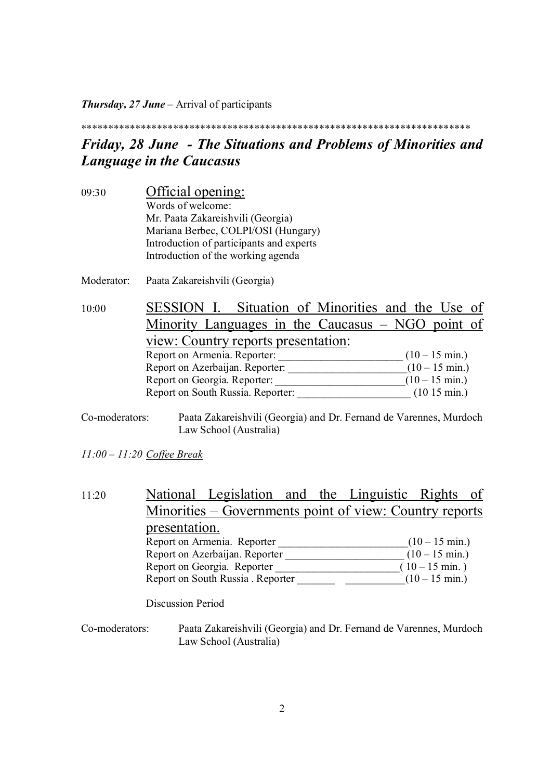*Thursday, 27 June* – Arrival of participants

\*\*\*\*\*\*\*\*\*\*\*\*\*\*\*\*\*\*\*\*\*\*\*\*\*\*\*\*\*\*\*\*\*\*\*\*\*\*\*\*\*\*\*\*\*\*\*\*\*\*\*\*\*\*\*\*\*\*\*\*\*\*\*\*\*\*\*\*\*\*\*\*

### *Friday, 28 June - The Situations and Problems of Minorities and Language in the Caucasus*

09:30 Official opening: Words of welcome: Mr. Paata Zakareishvili (Georgia) Mariana Berbec, COLPI/OSI (Hungary) Introduction of participants and experts Introduction of the working agenda

Moderator: Paata Zakareishvili (Georgia)

10:00 SESSION I. Situation of Minorities and the Use of Minority Languages in the Caucasus – NGO point of view: Country reports presentation: Report on Armenia. Reporter:  $(10-15 \text{ min.})$ Report on Azerbaijan. Reporter:  $\frac{1}{2}$  (10 – 15 min.) Report on Georgia. Reporter:  $(10-15 \text{ min.})$ Report on South Russia. Reporter:  $(10\ 15\ min.)$ 

Co-moderators: Paata Zakareishvili (Georgia) and Dr. Fernand de Varennes, Murdoch Law School (Australia)

*11:00 – 11:20 Coffee Break*

### 11:20 National Legislation and the Linguistic Rights of Minorities – Governments point of view: Country reports presentation. Report on Armenia. Reporter  $(10-15 \text{ min.})$ Report on Azerbaijan. Reporter  $\frac{1}{2}$  (10 – 15 min.) Report on Georgia. Reporter  $(10-15 \text{ min.})$ Report on South Russia . Reporter \_\_\_\_\_\_\_\_\_\_\_\_\_\_\_\_\_\_\_\_\_\_(10 – 15 min.)

Discussion Period

Co-moderators: Paata Zakareishvili (Georgia) and Dr. Fernand de Varennes, Murdoch Law School (Australia)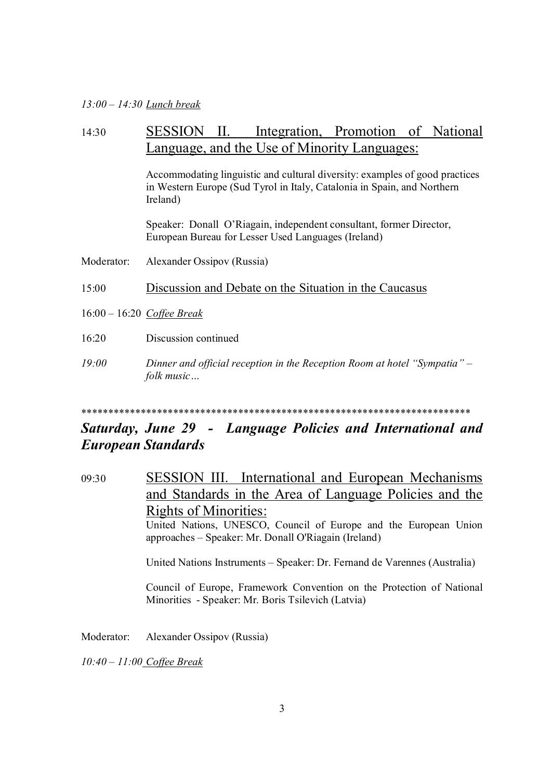#### *13:00 – 14:30 Lunch break*

### 14:30 SESSION II. Integration, Promotion of National Language, and the Use of Minority Languages:

Accommodating linguistic and cultural diversity: examples of good practices in Western Europe (Sud Tyrol in Italy, Catalonia in Spain, and Northern Ireland)

Speaker: Donall O'Riagain, independent consultant, former Director, European Bureau for Lesser Used Languages (Ireland)

Moderator: Alexander Ossipov (Russia)

15:00 Discussion and Debate on the Situation in the Caucasus

- 16:00 16:20 *Coffee Break*
- 16:20 Discussion continued
- *19:00 Dinner and official reception in the Reception Room at hotel "Sympatia" – folk music…*

#### \*\*\*\*\*\*\*\*\*\*\*\*\*\*\*\*\*\*\*\*\*\*\*\*\*\*\*\*\*\*\*\*\*\*\*\*\*\*\*\*\*\*\*\*\*\*\*\*\*\*\*\*\*\*\*\*\*\*\*\*\*\*\*\*\*\*\*\*\*\*\*\*

### *Saturday, June 29 - Language Policies and International and European Standards*

09:30 SESSION III. International and European Mechanisms and Standards in the Area of Language Policies and the Rights of Minorities: United Nations, UNESCO, Council of Europe and the European Union approaches – Speaker: Mr. Donall O'Riagain (Ireland) United Nations Instruments – Speaker: Dr. Fernand de Varennes (Australia)

> Council of Europe, Framework Convention on the Protection of National Minorities - Speaker: Mr. Boris Tsilevich (Latvia)

Moderator: Alexander Ossipov (Russia)

*10:40 – 11:00 Coffee Break*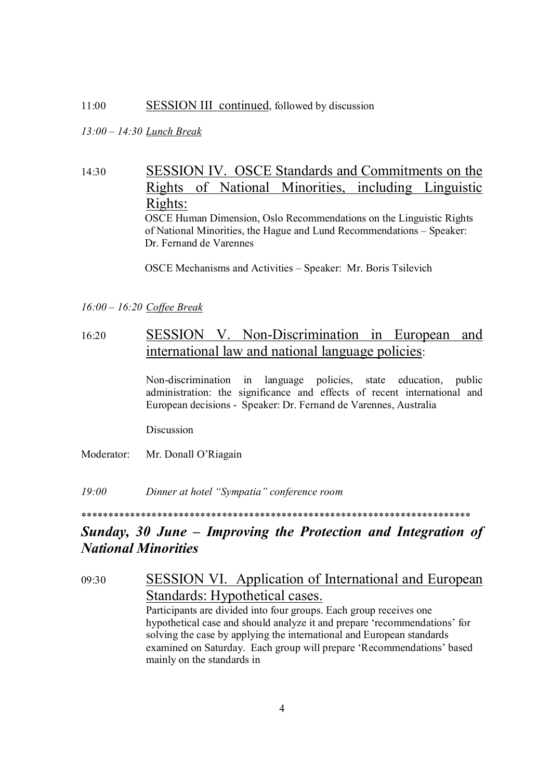#### 11:00 **SESSION III** continued, followed by discussion

### *13:00 – 14:30 Lunch Break*

14:30 SESSION IV. OSCE Standards and Commitments on the Rights of National Minorities, including Linguistic Rights: OSCE Human Dimension, Oslo Recommendations on the Linguistic Rights of National Minorities, the Hague and Lund Recommendations – Speaker: Dr. Fernand de Varennes

OSCE Mechanisms and Activities – Speaker: Mr. Boris Tsilevich

#### *16:00 – 16:20 Coffee Break*

### 16:20 SESSION V. Non-Discrimination in European and international law and national language policies:

Non-discrimination in language policies, state education, public administration: the significance and effects of recent international and European decisions - Speaker: Dr. Fernand de Varennes, Australia

Discussion

Moderator: Mr. Donall O'Riagain

*19:00 Dinner at hotel "Sympatia" conference room*

### \*\*\*\*\*\*\*\*\*\*\*\*\*\*\*\*\*\*\*\*\*\*\*\*\*\*\*\*\*\*\*\*\*\*\*\*\*\*\*\*\*\*\*\*\*\*\*\*\*\*\*\*\*\*\*\*\*\*\*\*\*\*\*\*\*\*\*\*\*\*\*\*

## *Sunday, 30 June – Improving the Protection and Integration of National Minorities*

09:30 SESSION VI. Application of International and European Standards: Hypothetical cases. Participants are divided into four groups. Each group receives one hypothetical case and should analyze it and prepare 'recommendations' for solving the case by applying the international and European standards examined on Saturday. Each group will prepare 'Recommendations' based mainly on the standards in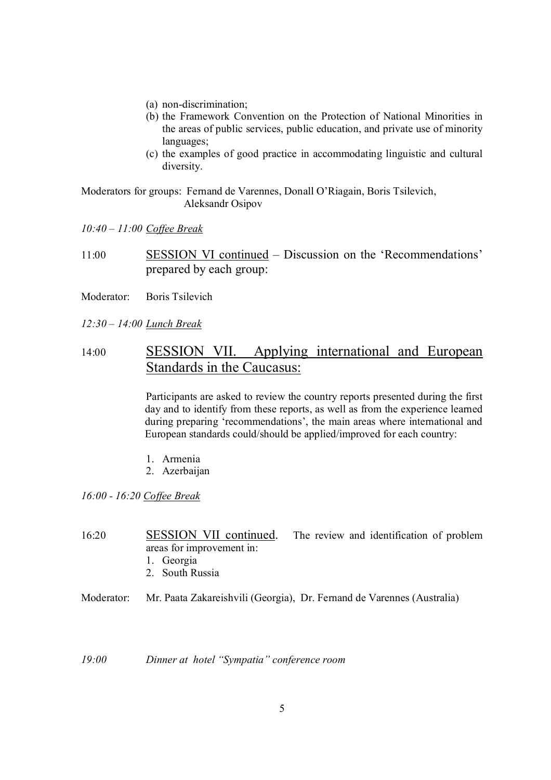- (a) non-discrimination;
- (b) the Framework Convention on the Protection of National Minorities in the areas of public services, public education, and private use of minority languages;
- (c) the examples of good practice in accommodating linguistic and cultural diversity.

Moderators for groups: Fernand de Varennes, Donall O'Riagain, Boris Tsilevich, Aleksandr Osipov

*10:40 – 11:00 Coffee Break*

11:00 SESSION VI continued – Discussion on the 'Recommendations' prepared by each group:

Moderator: Boris Tsilevich

*12:30 – 14:00 Lunch Break*

### 14:00 SESSION VII. Applying international and European Standards in the Caucasus:

Participants are asked to review the country reports presented during the first day and to identify from these reports, as well as from the experience learned during preparing 'recommendations', the main areas where international and European standards could/should be applied/improved for each country:

- 1. Armenia
- 2. Azerbaijan

*16:00 - 16:20 Coffee Break*

16:20 SESSION VII continued. The review and identification of problem areas for improvement in:

- 1. Georgia
- 2. South Russia
- Moderator: Mr. Paata Zakareishvili (Georgia), Dr. Fernand de Varennes (Australia)

*19:00 Dinner at hotel "Sympatia" conference room*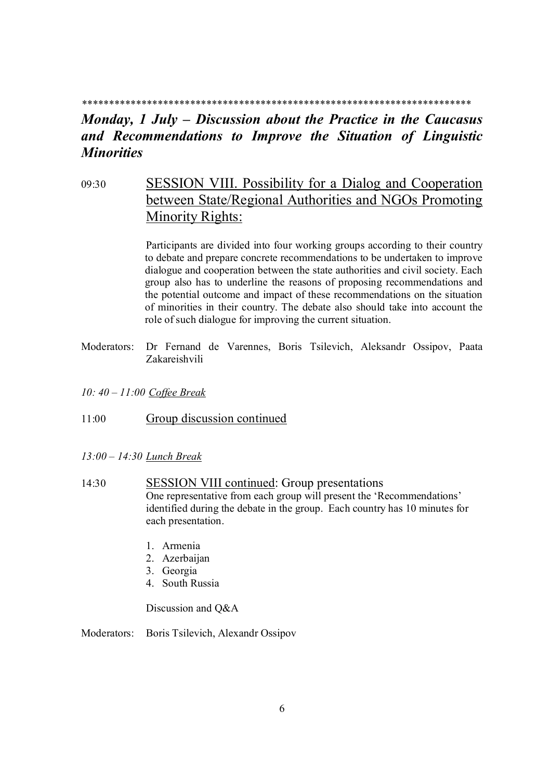#### *\*\*\*\*\*\*\*\*\*\*\*\*\*\*\*\*\*\*\*\*\*\*\*\*\*\*\*\*\*\*\*\*\*\*\*\*\*\*\*\*\*\*\*\*\*\*\*\*\*\*\*\*\*\*\*\*\*\*\*\*\*\*\*\*\*\*\*\*\*\*\*\**

### *Monday, 1 July – Discussion about the Practice in the Caucasus and Recommendations to Improve the Situation of Linguistic Minorities*

## 09:30 SESSION VIII. Possibility for a Dialog and Cooperation between State/Regional Authorities and NGOs Promoting Minority Rights:

Participants are divided into four working groups according to their country to debate and prepare concrete recommendations to be undertaken to improve dialogue and cooperation between the state authorities and civil society. Each group also has to underline the reasons of proposing recommendations and the potential outcome and impact of these recommendations on the situation of minorities in their country. The debate also should take into account the role of such dialogue for improving the current situation.

- Moderators: Dr Fernand de Varennes, Boris Tsilevich, Aleksandr Ossipov, Paata Zakareishvili
- *10: 40 11:00 Coffee Break*
- 11:00 Group discussion continued
- *13:00 14:30 Lunch Break*
- 14:30 SESSION VIII continued: Group presentations One representative from each group will present the 'Recommendations' identified during the debate in the group. Each country has 10 minutes for each presentation.
	- 1. Armenia
	- 2. Azerbaijan
	- 3. Georgia
	- 4. South Russia

Discussion and Q&A

Moderators: Boris Tsilevich, Alexandr Ossipov